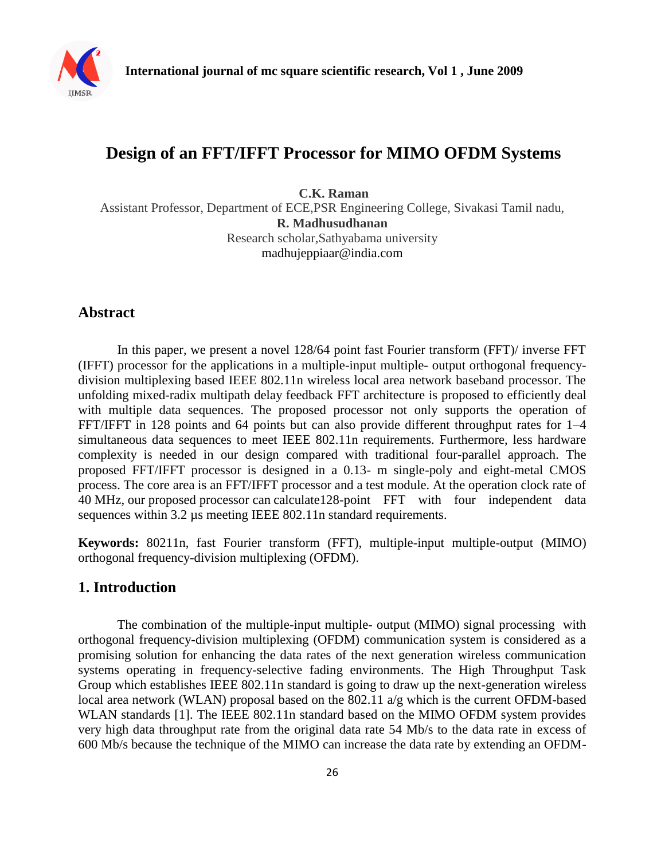

# **Design of an FFT/IFFT Processor for MIMO OFDM Systems**

**C.K. Raman**

Assistant Professor, Department of ECE,PSR Engineering College, Sivakasi Tamil nadu, **R. Madhusudhanan** Research scholar,Sathyabama university [madhujeppiaar@india.com](mailto:madhujeppiaar@india.com)

## **Abstract**

In this paper, we present a novel 128/64 point fast Fourier transform (FFT)/ inverse FFT (IFFT) processor for the applications in a multiple-input multiple- output orthogonal frequencydivision multiplexing based IEEE 802.11n wireless local area network baseband processor. The unfolding mixed-radix multipath delay feedback FFT architecture is proposed to efficiently deal with multiple data sequences. The proposed processor not only supports the operation of FFT/IFFT in 128 points and 64 points but can also provide different throughput rates for 1–4 simultaneous data sequences to meet IEEE 802.11n requirements. Furthermore, less hardware complexity is needed in our design compared with traditional four-parallel approach. The proposed FFT/IFFT processor is designed in a 0.13- m single-poly and eight-metal CMOS process. The core area is an FFT/IFFT processor and a test module. At the operation clock rate of 40 MHz, our proposed processor can calculate128-point FFT with four independent data sequences within 3.2 µs meeting IEEE 802.11n standard requirements.

**Keywords:** 80211n, fast Fourier transform (FFT), multiple-input multiple-output (MIMO) orthogonal frequency-division multiplexing (OFDM).

## **1. Introduction**

The combination of the multiple-input multiple- output (MIMO) signal processing with orthogonal frequency-division multiplexing (OFDM) communication system is considered as a promising solution for enhancing the data rates of the next generation wireless communication systems operating in frequency-selective fading environments. The High Throughput Task Group which establishes IEEE 802.11n standard is going to draw up the next-generation wireless local area network (WLAN) proposal based on the 802.11 a/g which is the current OFDM-based WLAN standards [1]. The IEEE 802.11n standard based on the MIMO OFDM system provides very high data throughput rate from the original data rate 54 Mb/s to the data rate in excess of 600 Mb/s because the technique of the MIMO can increase the data rate by extending an OFDM-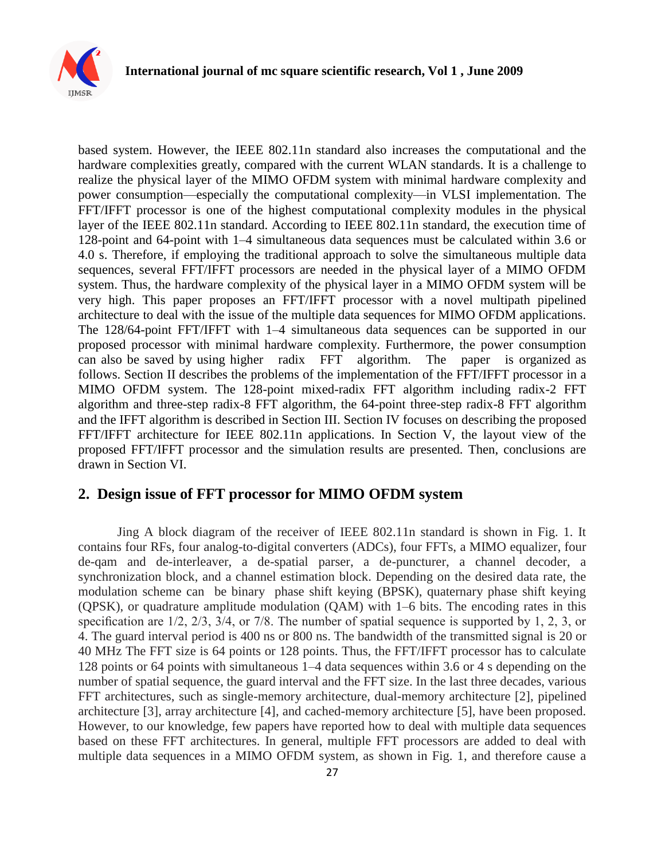

based system. However, the IEEE 802.11n standard also increases the computational and the hardware complexities greatly, compared with the current WLAN standards. It is a challenge to realize the physical layer of the MIMO OFDM system with minimal hardware complexity and power consumption—especially the computational complexity—in VLSI implementation. The FFT/IFFT processor is one of the highest computational complexity modules in the physical layer of the IEEE 802.11n standard. According to IEEE 802.11n standard, the execution time of 128-point and 64-point with 1–4 simultaneous data sequences must be calculated within 3.6 or 4.0 s. Therefore, if employing the traditional approach to solve the simultaneous multiple data sequences, several FFT/IFFT processors are needed in the physical layer of a MIMO OFDM system. Thus, the hardware complexity of the physical layer in a MIMO OFDM system will be very high. This paper proposes an FFT/IFFT processor with a novel multipath pipelined architecture to deal with the issue of the multiple data sequences for MIMO OFDM applications. The 128/64-point FFT/IFFT with 1–4 simultaneous data sequences can be supported in our proposed processor with minimal hardware complexity. Furthermore, the power consumption can also be saved by using higher radix FFT algorithm. The paper is organized as follows. Section II describes the problems of the implementation of the FFT/IFFT processor in a MIMO OFDM system. The 128-point mixed-radix FFT algorithm including radix-2 FFT algorithm and three-step radix-8 FFT algorithm, the 64-point three-step radix-8 FFT algorithm and the IFFT algorithm is described in Section III. Section IV focuses on describing the proposed FFT/IFFT architecture for IEEE 802.11n applications. In Section V, the layout view of the proposed FFT/IFFT processor and the simulation results are presented. Then, conclusions are drawn in Section VI.

### **2. Design issue of FFT processor for MIMO OFDM system**

Jing A block diagram of the receiver of IEEE 802.11n standard is shown in Fig. 1. It contains four RFs, four analog-to-digital converters (ADCs), four FFTs, a MIMO equalizer, four de-qam and de-interleaver, a de-spatial parser, a de-puncturer, a channel decoder, a synchronization block, and a channel estimation block. Depending on the desired data rate, the modulation scheme can be binary phase shift keying (BPSK), quaternary phase shift keying (QPSK), or quadrature amplitude modulation (QAM) with 1–6 bits. The encoding rates in this specification are 1/2, 2/3, 3/4, or 7/8. The number of spatial sequence is supported by 1, 2, 3, or 4. The guard interval period is 400 ns or 800 ns. The bandwidth of the transmitted signal is 20 or 40 MHz The FFT size is 64 points or 128 points. Thus, the FFT/IFFT processor has to calculate 128 points or 64 points with simultaneous 1–4 data sequences within 3.6 or 4 s depending on the number of spatial sequence, the guard interval and the FFT size. In the last three decades, various FFT architectures, such as single-memory architecture, dual-memory architecture [2], pipelined architecture [3], array architecture [4], and cached-memory architecture [5], have been proposed. However, to our knowledge, few papers have reported how to deal with multiple data sequences based on these FFT architectures. In general, multiple FFT processors are added to deal with multiple data sequences in a MIMO OFDM system, as shown in Fig. 1, and therefore cause a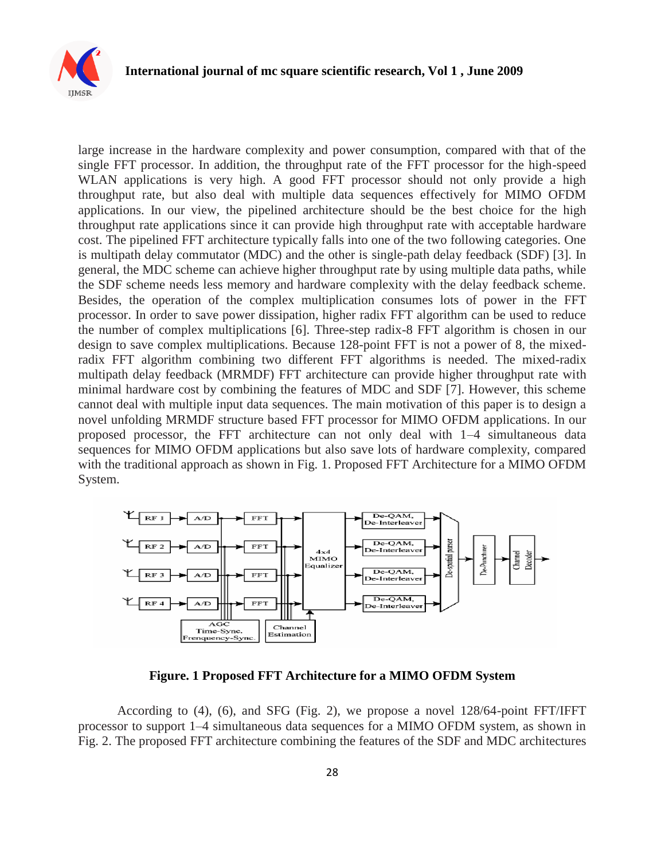

large increase in the hardware complexity and power consumption, compared with that of the single FFT processor. In addition, the throughput rate of the FFT processor for the high-speed WLAN applications is very high. A good FFT processor should not only provide a high throughput rate, but also deal with multiple data sequences effectively for MIMO OFDM applications. In our view, the pipelined architecture should be the best choice for the high throughput rate applications since it can provide high throughput rate with acceptable hardware cost. The pipelined FFT architecture typically falls into one of the two following categories. One is multipath delay commutator (MDC) and the other is single-path delay feedback (SDF) [3]. In general, the MDC scheme can achieve higher throughput rate by using multiple data paths, while the SDF scheme needs less memory and hardware complexity with the delay feedback scheme. Besides, the operation of the complex multiplication consumes lots of power in the FFT processor. In order to save power dissipation, higher radix FFT algorithm can be used to reduce the number of complex multiplications [6]. Three-step radix-8 FFT algorithm is chosen in our design to save complex multiplications. Because 128-point FFT is not a power of 8, the mixedradix FFT algorithm combining two different FFT algorithms is needed. The mixed-radix multipath delay feedback (MRMDF) FFT architecture can provide higher throughput rate with minimal hardware cost by combining the features of MDC and SDF [7]. However, this scheme cannot deal with multiple input data sequences. The main motivation of this paper is to design a novel unfolding MRMDF structure based FFT processor for MIMO OFDM applications. In our proposed processor, the FFT architecture can not only deal with 1–4 simultaneous data sequences for MIMO OFDM applications but also save lots of hardware complexity, compared with the traditional approach as shown in Fig. 1. Proposed FFT Architecture for a MIMO OFDM System.



**Figure. 1 Proposed FFT Architecture for a MIMO OFDM System**

According to (4), (6), and SFG (Fig. 2), we propose a novel 128/64-point FFT/IFFT processor to support 1–4 simultaneous data sequences for a MIMO OFDM system, as shown in Fig. 2. The proposed FFT architecture combining the features of the SDF and MDC architectures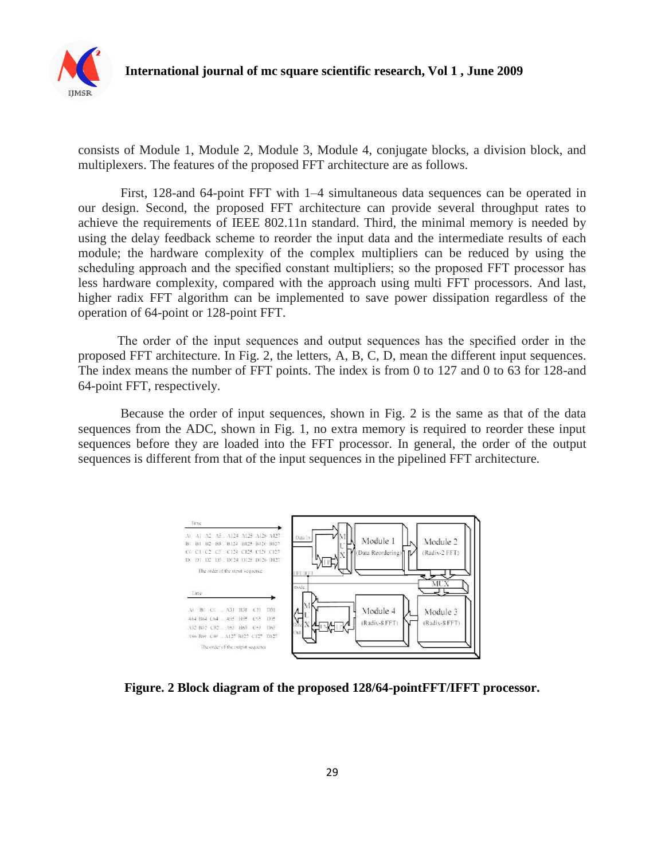

consists of Module 1, Module 2, Module 3, Module 4, conjugate blocks, a division block, and multiplexers. The features of the proposed FFT architecture are as follows.

First, 128-and 64-point FFT with 1–4 simultaneous data sequences can be operated in our design. Second, the proposed FFT architecture can provide several throughput rates to achieve the requirements of IEEE 802.11n standard. Third, the minimal memory is needed by using the delay feedback scheme to reorder the input data and the intermediate results of each module; the hardware complexity of the complex multipliers can be reduced by using the scheduling approach and the specified constant multipliers; so the proposed FFT processor has less hardware complexity, compared with the approach using multi FFT processors. And last, higher radix FFT algorithm can be implemented to save power dissipation regardless of the operation of 64-point or 128-point FFT.

The order of the input sequences and output sequences has the specified order in the proposed FFT architecture. In Fig. 2, the letters, A, B, C, D, mean the different input sequences. The index means the number of FFT points. The index is from 0 to 127 and 0 to 63 for 128-and 64-point FFT, respectively.

Because the order of input sequences, shown in Fig. 2 is the same as that of the data sequences from the ADC, shown in Fig. 1, no extra memory is required to reorder these input sequences before they are loaded into the FFT processor. In general, the order of the output sequences is different from that of the input sequences in the pipelined FFT architecture.



**Figure. 2 Block diagram of the proposed 128/64-pointFFT/IFFT processor.**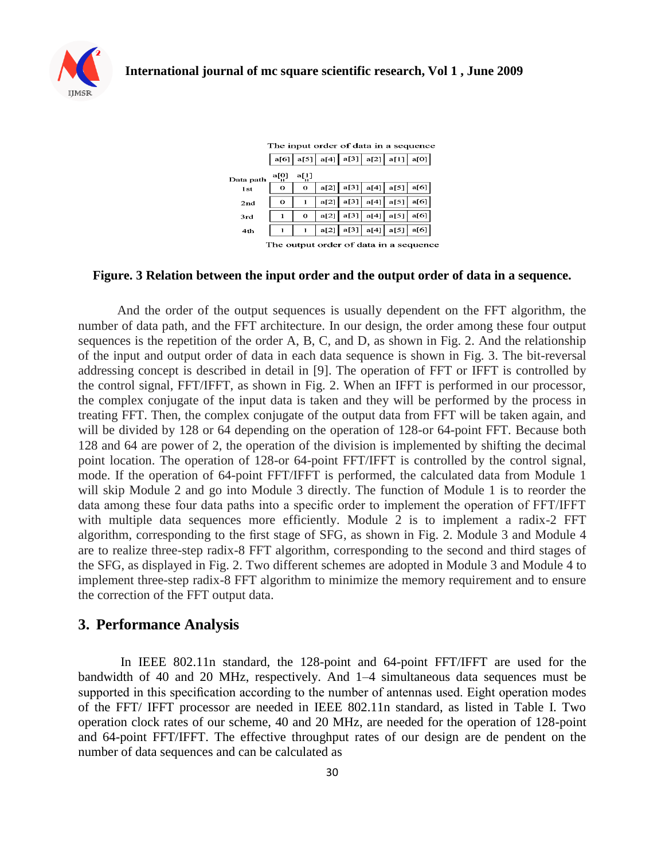

| The input order of data in a sequence |      |             |      |             |      |      |             |
|---------------------------------------|------|-------------|------|-------------|------|------|-------------|
|                                       | a[6] | a[5]        |      | a[4]   a[3] | a[2] |      | a[1]   a[0] |
| Data path                             | a[O] | a[1]        |      |             |      |      |             |
| 1 <sub>st</sub>                       | 0    | $\mathbf o$ | a[2] | a[3]        | a[4] | a[5] | a[6]        |
| 2nd                                   | 0    | 1           | a[2] | a[3]        | a[4] | a[5] | a[6]        |
| 3rd                                   |      | $\mathbf o$ | a[2] | a[3]        | a[4] | a[5] | a[6]        |
| 4th                                   |      |             | a[2] | a[3]        | a[4] | a[5] | a[6]        |
|                                       |      |             |      | .           |      |      |             |

The output order of data in a sequence

#### **Figure. 3 Relation between the input order and the output order of data in a sequence.**

And the order of the output sequences is usually dependent on the FFT algorithm, the number of data path, and the FFT architecture. In our design, the order among these four output sequences is the repetition of the order A, B, C, and D, as shown in Fig. 2. And the relationship of the input and output order of data in each data sequence is shown in Fig. 3. The bit-reversal addressing concept is described in detail in [9]. The operation of FFT or IFFT is controlled by the control signal, FFT/IFFT, as shown in Fig. 2. When an IFFT is performed in our processor, the complex conjugate of the input data is taken and they will be performed by the process in treating FFT. Then, the complex conjugate of the output data from FFT will be taken again, and will be divided by 128 or 64 depending on the operation of 128-or 64-point FFT. Because both 128 and 64 are power of 2, the operation of the division is implemented by shifting the decimal point location. The operation of 128-or 64-point FFT/IFFT is controlled by the control signal, mode. If the operation of 64-point FFT/IFFT is performed, the calculated data from Module 1 will skip Module 2 and go into Module 3 directly. The function of Module 1 is to reorder the data among these four data paths into a specific order to implement the operation of FFT/IFFT with multiple data sequences more efficiently. Module 2 is to implement a radix-2 FFT algorithm, corresponding to the first stage of SFG, as shown in Fig. 2. Module 3 and Module 4 are to realize three-step radix-8 FFT algorithm, corresponding to the second and third stages of the SFG, as displayed in Fig. 2. Two different schemes are adopted in Module 3 and Module 4 to implement three-step radix-8 FFT algorithm to minimize the memory requirement and to ensure the correction of the FFT output data.

#### **3. Performance Analysis**

In IEEE 802.11n standard, the 128-point and 64-point FFT/IFFT are used for the bandwidth of 40 and 20 MHz, respectively. And 1–4 simultaneous data sequences must be supported in this specification according to the number of antennas used. Eight operation modes of the FFT/ IFFT processor are needed in IEEE 802.11n standard, as listed in Table I. Two operation clock rates of our scheme, 40 and 20 MHz, are needed for the operation of 128-point and 64-point FFT/IFFT. The effective throughput rates of our design are de pendent on the number of data sequences and can be calculated as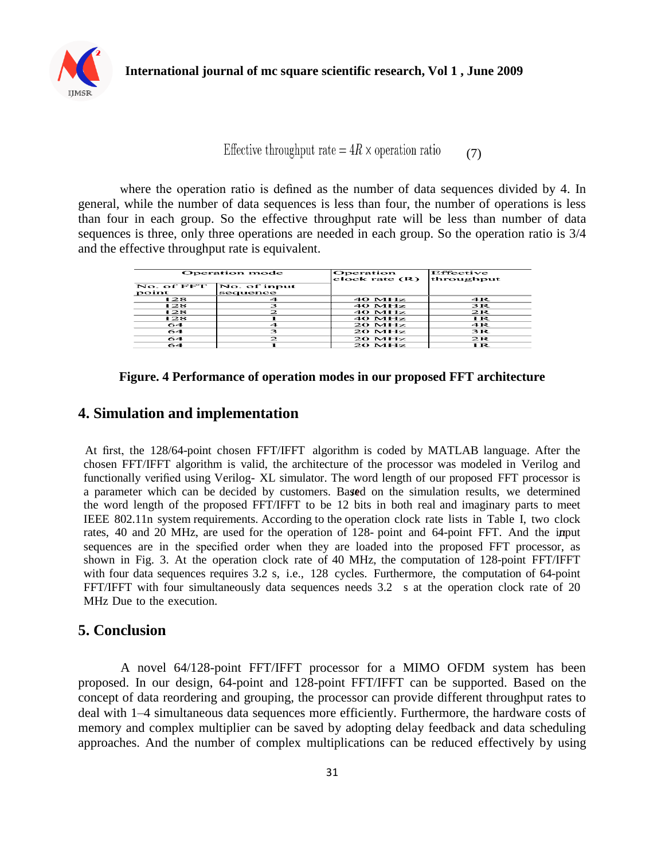

Effective throughput rate  $= 4R \times$  operation ratio (7)

where the operation ratio is defined as the number of data sequences divided by 4. In general, while the number of data sequences is less than four, the number of operations is less than four in each group. So the effective throughput rate will be less than number of data sequences is three, only three operations are needed in each group. So the operation ratio is 3/4 and the effective throughput rate is equivalent.

|                     | Operation mode           | Operation<br>$clock$ rate $(R)$ | Effective<br>throughput |  |
|---------------------|--------------------------|---------------------------------|-------------------------|--|
| No. of FFT<br>point | No. of input<br>sequence |                                 |                         |  |
| 128                 | ◢                        | $40$ MHz                        | 4R                      |  |
| 128                 | з                        | 40 MHz                          | 3 R                     |  |
| 128                 | $\mathcal{P}$            | $40$ MHz                        | 2R                      |  |
| 128                 |                          | 40 MHz                          | 1 <sub>R</sub>          |  |
| 64                  | ◢                        | 20 MHz                          | 4R                      |  |
| 64                  | з                        | 20 MHz                          | 3R                      |  |
| 64                  | $\mathbf{z}$             | 20 MHz                          | 2R                      |  |
| 64                  |                          | 20 MHz                          | 1R.                     |  |

#### **Figure. 4 Performance of operation modes in our proposed FFT architecture**

## **4. Simulation and implementation**

At first, the 128/64-point chosen FFT/IFFT algorithm is coded by MATLAB language. After the chosen FFT/IFFT algorithm is valid, the architecture of the processor was modeled in Verilog and functionally verified using Verilog- XL simulator. The word length of our proposed FFT processor is a parameter which can be decided by customers. Based on the simulation results, we determined the word length of the proposed FFT/IFFT to be 12 bits in both real and imaginary parts to meet IEEE 802.11n system requirements. According to the operation clock rate lists in Table I, two clock rates, 40 and 20 MHz, are used for the operation of 128- point and 64-point FFT. And the input sequences are in the specified order when they are loaded into the proposed FFT processor, as shown in Fig. 3. At the operation clock rate of 40 MHz, the computation of 128-point FFT/IFFT with four data sequences requires 3.2 s, i.e., 128 cycles. Furthermore, the computation of 64-point FFT/IFFT with four simultaneously data sequences needs 3.2 s at the operation clock rate of 20 MHz Due to the execution.

#### **5. Conclusion**

A novel 64/128-point FFT/IFFT processor for a MIMO OFDM system has been proposed. In our design, 64-point and 128-point FFT/IFFT can be supported. Based on the concept of data reordering and grouping, the processor can provide different throughput rates to deal with 1–4 simultaneous data sequences more efficiently. Furthermore, the hardware costs of memory and complex multiplier can be saved by adopting delay feedback and data scheduling approaches. And the number of complex multiplications can be reduced effectively by using